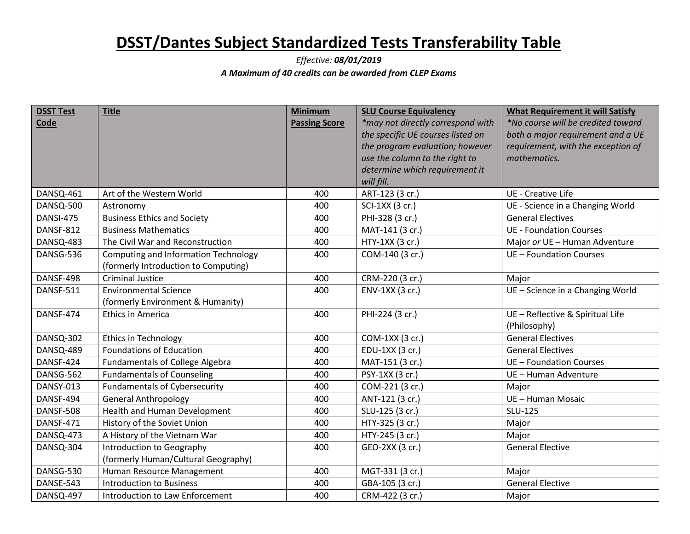## **DSST/Dantes Subject Standardized Tests Transferability Table**

## *Effective: 08/01/2019 A Maximum of 40 credits can be awarded from CLEP Exams*

| <b>DSST Test</b> | <b>Title</b>                                | <b>Minimum</b>       | <b>SLU Course Equivalency</b>     | <b>What Requirement it will Satisfy</b> |
|------------------|---------------------------------------------|----------------------|-----------------------------------|-----------------------------------------|
| Code             |                                             | <b>Passing Score</b> | *may not directly correspond with | *No course will be credited toward      |
|                  |                                             |                      | the specific UE courses listed on | both a major requirement and a UE       |
|                  |                                             |                      | the program evaluation; however   | requirement, with the exception of      |
|                  |                                             |                      | use the column to the right to    | mathematics.                            |
|                  |                                             |                      | determine which requirement it    |                                         |
|                  |                                             |                      | will fill.                        |                                         |
| DANSQ-461        | Art of the Western World                    | 400                  | ART-123 (3 cr.)                   | <b>UE</b> - Creative Life               |
| DANSQ-500        | Astronomy                                   | 400                  | SCI-1XX (3 cr.)                   | UE - Science in a Changing World        |
| DANSI-475        | <b>Business Ethics and Society</b>          | 400                  | PHI-328 (3 cr.)                   | <b>General Electives</b>                |
| <b>DANSF-812</b> | <b>Business Mathematics</b>                 | 400                  | MAT-141 (3 cr.)                   | <b>UE - Foundation Courses</b>          |
| DANSQ-483        | The Civil War and Reconstruction            | 400                  | HTY-1XX (3 cr.)                   | Major or UE - Human Adventure           |
| DANSG-536        | <b>Computing and Information Technology</b> | 400                  | COM-140 (3 cr.)                   | UE - Foundation Courses                 |
|                  | (formerly Introduction to Computing)        |                      |                                   |                                         |
| DANSF-498        | <b>Criminal Justice</b>                     | 400                  | CRM-220 (3 cr.)                   | Major                                   |
| DANSF-511        | <b>Environmental Science</b>                | 400                  | ENV-1XX (3 cr.)                   | UE - Science in a Changing World        |
|                  | (formerly Environment & Humanity)           |                      |                                   |                                         |
| DANSF-474        | <b>Ethics in America</b>                    | 400                  | PHI-224 (3 cr.)                   | UE - Reflective & Spiritual Life        |
|                  |                                             |                      |                                   | (Philosophy)                            |
| DANSQ-302        | Ethics in Technology                        | 400                  | COM-1XX (3 cr.)                   | <b>General Electives</b>                |
| DANSQ-489        | <b>Foundations of Education</b>             | 400                  | EDU-1XX (3 cr.)                   | <b>General Electives</b>                |
| DANSF-424        | <b>Fundamentals of College Algebra</b>      | 400                  | MAT-151 (3 cr.)                   | UE - Foundation Courses                 |
| DANSG-562        | <b>Fundamentals of Counseling</b>           | 400                  | PSY-1XX (3 cr.)                   | UE - Human Adventure                    |
| <b>DANSY-013</b> | <b>Fundamentals of Cybersecurity</b>        | 400                  | COM-221 (3 cr.)                   | Major                                   |
| DANSF-494        | <b>General Anthropology</b>                 | 400                  | ANT-121 (3 cr.)                   | UE - Human Mosaic                       |
| DANSF-508        | Health and Human Development                | 400                  | SLU-125 (3 cr.)                   | SLU-125                                 |
| DANSF-471        | History of the Soviet Union                 | 400                  | HTY-325 (3 cr.)                   | Major                                   |
| DANSQ-473        | A History of the Vietnam War                | 400                  | HTY-245 (3 cr.)                   | Major                                   |
| DANSQ-304        | Introduction to Geography                   | 400                  | GEO-2XX (3 cr.)                   | <b>General Elective</b>                 |
|                  | (formerly Human/Cultural Geography)         |                      |                                   |                                         |
| DANSG-530        | Human Resource Management                   | 400                  | MGT-331 (3 cr.)                   | Major                                   |
| DANSE-543        | <b>Introduction to Business</b>             | 400                  | GBA-105 (3 cr.)                   | <b>General Elective</b>                 |
| DANSQ-497        | Introduction to Law Enforcement             | 400                  | CRM-422 (3 cr.)                   | Major                                   |